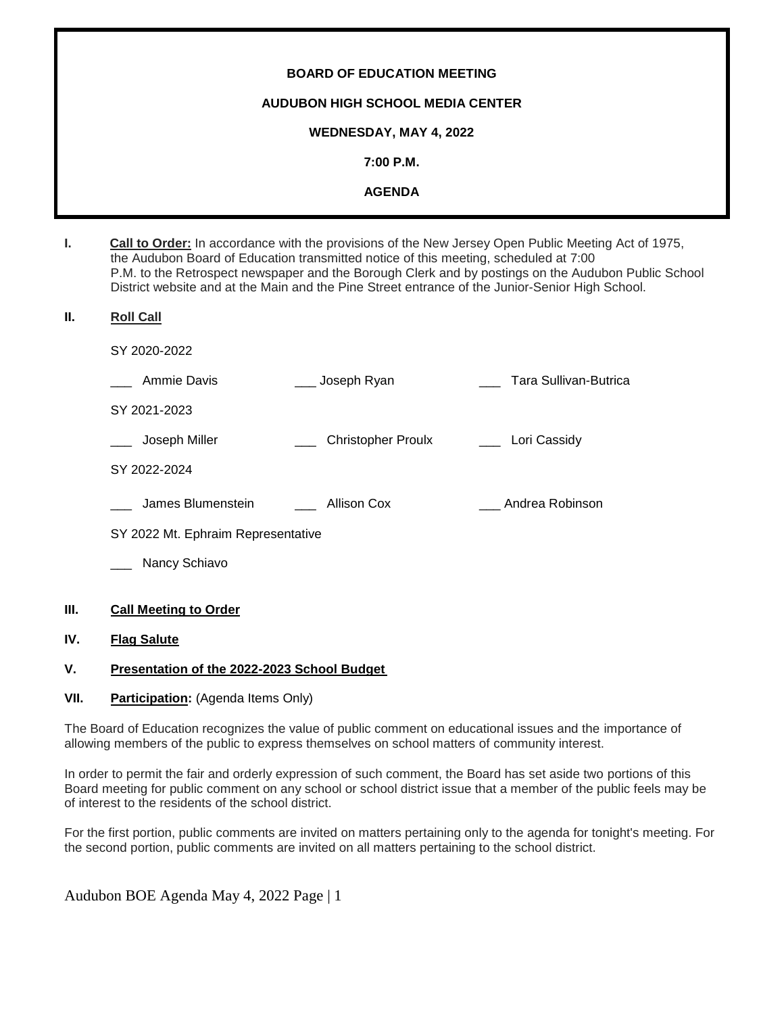# **BOARD OF EDUCATION MEETING AUDUBON HIGH SCHOOL MEDIA CENTER WEDNESDAY, MAY 4, 2022 7:00 P.M. AGENDA**

| ь. | Call to Order: In accordance with the provisions of the New Jersey Open Public Meeting Act of 1975, |
|----|-----------------------------------------------------------------------------------------------------|
|    | the Audubon Board of Education transmitted notice of this meeting, scheduled at 7:00                |
|    | P.M. to the Retrospect newspaper and the Borough Clerk and by postings on the Audubon Public School |
|    | District website and at the Main and the Pine Street entrance of the Junior-Senior High School.     |

# **II. Roll Call**

SY 2020-2022

| Ammie Davis                        | Joseph Ryan               | Tara Sullivan-Butrica |
|------------------------------------|---------------------------|-----------------------|
| SY 2021-2023                       |                           |                       |
| Joseph Miller                      | <b>Christopher Proulx</b> | Lori Cassidy          |
| SY 2022-2024                       |                           |                       |
| James Blumenstein                  | Allison Cox               | Andrea Robinson       |
| SY 2022 Mt. Ephraim Representative |                           |                       |
|                                    |                           |                       |

Nancy Schiavo

# **III. Call Meeting to Order**

# **IV. Flag Salute**

# **V. Presentation of the 2022-2023 School Budget**

# **VII.** Participation: (Agenda Items Only)

The Board of Education recognizes the value of public comment on educational issues and the importance of allowing members of the public to express themselves on school matters of community interest.

In order to permit the fair and orderly expression of such comment, the Board has set aside two portions of this Board meeting for public comment on any school or school district issue that a member of the public feels may be of interest to the residents of the school district.

For the first portion, public comments are invited on matters pertaining only to the agenda for tonight's meeting. For the second portion, public comments are invited on all matters pertaining to the school district.

Audubon BOE Agenda May 4, 2022 Page | 1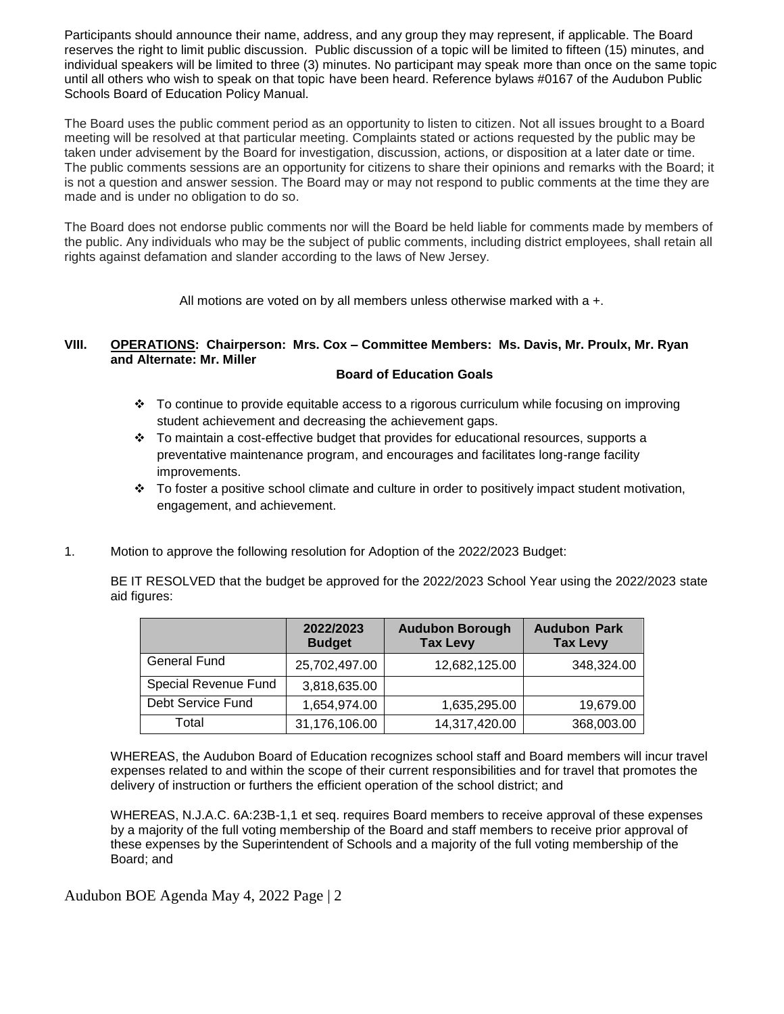Participants should announce their name, address, and any group they may represent, if applicable. The Board reserves the right to limit public discussion. Public discussion of a topic will be limited to fifteen (15) minutes, and individual speakers will be limited to three (3) minutes. No participant may speak more than once on the same topic until all others who wish to speak on that topic have been heard. Reference bylaws #0167 of the Audubon Public Schools Board of Education Policy Manual.

The Board uses the public comment period as an opportunity to listen to citizen. Not all issues brought to a Board meeting will be resolved at that particular meeting. Complaints stated or actions requested by the public may be taken under advisement by the Board for investigation, discussion, actions, or disposition at a later date or time. The public comments sessions are an opportunity for citizens to share their opinions and remarks with the Board; it is not a question and answer session. The Board may or may not respond to public comments at the time they are made and is under no obligation to do so.

The Board does not endorse public comments nor will the Board be held liable for comments made by members of the public. Any individuals who may be the subject of public comments, including district employees, shall retain all rights against defamation and slander according to the laws of New Jersey.

All motions are voted on by all members unless otherwise marked with a +.

# **VIII. OPERATIONS: Chairperson: Mrs. Cox – Committee Members: Ms. Davis, Mr. Proulx, Mr. Ryan and Alternate: Mr. Miller**

#### **Board of Education Goals**

- To continue to provide equitable access to a rigorous curriculum while focusing on improving student achievement and decreasing the achievement gaps.
- $\div$  To maintain a cost-effective budget that provides for educational resources, supports a preventative maintenance program, and encourages and facilitates long-range facility improvements.
- $\div$  To foster a positive school climate and culture in order to positively impact student motivation, engagement, and achievement.
- 1. Motion to approve the following resolution for Adoption of the 2022/2023 Budget:

BE IT RESOLVED that the budget be approved for the 2022/2023 School Year using the 2022/2023 state aid figures:

|                      | 2022/2023<br><b>Budget</b> | <b>Audubon Borough</b><br><b>Tax Levy</b> | <b>Audubon Park</b><br><b>Tax Levy</b> |
|----------------------|----------------------------|-------------------------------------------|----------------------------------------|
| <b>General Fund</b>  | 25,702,497.00              | 12,682,125.00                             | 348,324.00                             |
| Special Revenue Fund | 3,818,635.00               |                                           |                                        |
| Debt Service Fund    | 1,654,974.00               | 1,635,295.00                              | 19,679.00                              |
| Total                | 31,176,106.00              | 14,317,420.00                             | 368,003.00                             |

WHEREAS, the Audubon Board of Education recognizes school staff and Board members will incur travel expenses related to and within the scope of their current responsibilities and for travel that promotes the delivery of instruction or furthers the efficient operation of the school district; and

WHEREAS, N.J.A.C. 6A:23B-1,1 et seq. requires Board members to receive approval of these expenses by a majority of the full voting membership of the Board and staff members to receive prior approval of these expenses by the Superintendent of Schools and a majority of the full voting membership of the Board; and

Audubon BOE Agenda May 4, 2022 Page | 2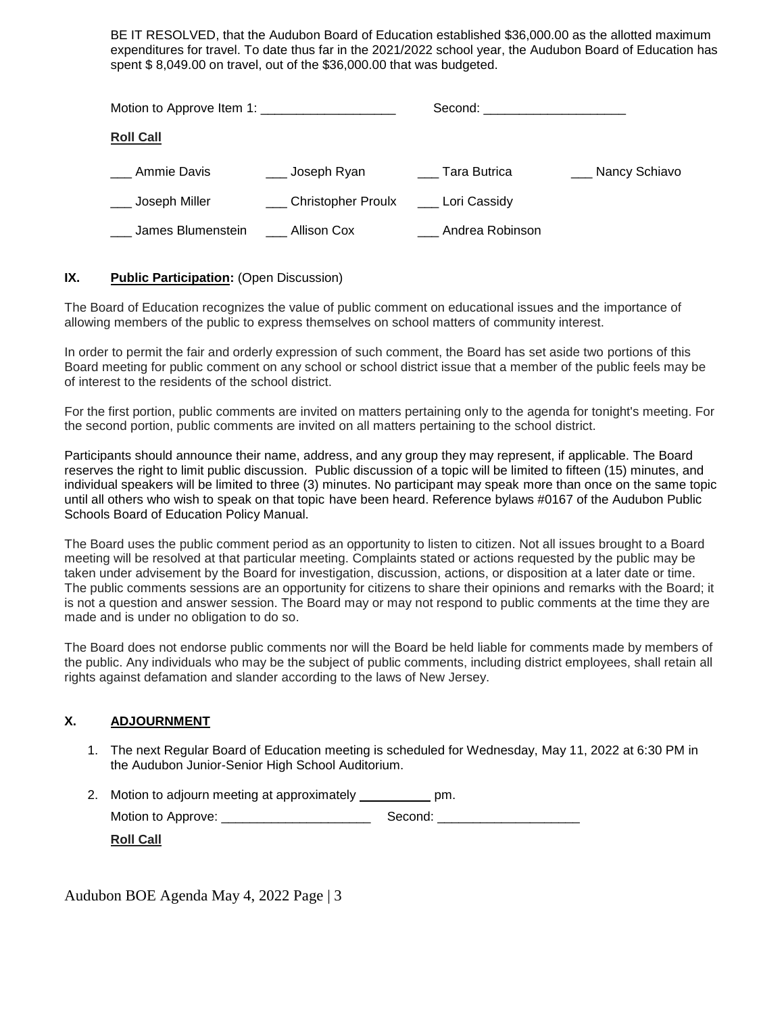BE IT RESOLVED, that the Audubon Board of Education established \$36,000.00 as the allotted maximum expenditures for travel. To date thus far in the 2021/2022 school year, the Audubon Board of Education has spent \$ 8,049.00 on travel, out of the \$36,000.00 that was budgeted.

|                                    |                                       | Second: _______________________ |                   |
|------------------------------------|---------------------------------------|---------------------------------|-------------------|
| <b>Roll Call</b>                   |                                       |                                 |                   |
| Ammie Davis                        | ___ Joseph Ryan                       | Tara Butrica                    | ___ Nancy Schiavo |
| _ Joseph Miller                    | Christopher Proulx _____ Lori Cassidy |                                 |                   |
| James Blumenstein ____ Allison Cox |                                       | Andrea Robinson                 |                   |

# **IX.** Public Participation: (Open Discussion)

The Board of Education recognizes the value of public comment on educational issues and the importance of allowing members of the public to express themselves on school matters of community interest.

In order to permit the fair and orderly expression of such comment, the Board has set aside two portions of this Board meeting for public comment on any school or school district issue that a member of the public feels may be of interest to the residents of the school district.

For the first portion, public comments are invited on matters pertaining only to the agenda for tonight's meeting. For the second portion, public comments are invited on all matters pertaining to the school district.

Participants should announce their name, address, and any group they may represent, if applicable. The Board reserves the right to limit public discussion. Public discussion of a topic will be limited to fifteen (15) minutes, and individual speakers will be limited to three (3) minutes. No participant may speak more than once on the same topic until all others who wish to speak on that topic have been heard. Reference bylaws #0167 of the Audubon Public Schools Board of Education Policy Manual.

The Board uses the public comment period as an opportunity to listen to citizen. Not all issues brought to a Board meeting will be resolved at that particular meeting. Complaints stated or actions requested by the public may be taken under advisement by the Board for investigation, discussion, actions, or disposition at a later date or time. The public comments sessions are an opportunity for citizens to share their opinions and remarks with the Board; it is not a question and answer session. The Board may or may not respond to public comments at the time they are made and is under no obligation to do so.

The Board does not endorse public comments nor will the Board be held liable for comments made by members of the public. Any individuals who may be the subject of public comments, including district employees, shall retain all rights against defamation and slander according to the laws of New Jersey.

# **X. ADJOURNMENT**

1. The next Regular Board of Education meeting is scheduled for Wednesday, May 11, 2022 at 6:30 PM in the Audubon Junior-Senior High School Auditorium.

| 2. Motion to adjourn meeting at approximately | pm.     |
|-----------------------------------------------|---------|
| Motion to Approve:                            | Second: |

**Roll Call**

Audubon BOE Agenda May 4, 2022 Page | 3